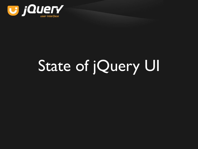

# State of jQuery UI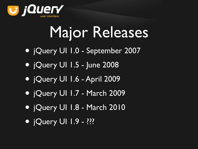

# Major Releases

- jQuery UI 1.0 September 2007
- jQuery UI 1.5 June 2008
- jQuery UI 1.6 April 2009
- jQuery UI 1.7 March 2009
- jQuery UI 1.8 March 2010
- jQuery UI 1.9 ???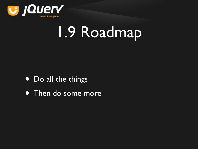

## 1.9 Roadmap

- Do all the things
- **Then do some more**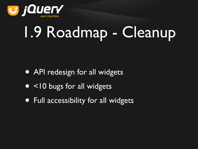

# 1.9 Roadmap - Cleanup

- API redesign for all widgets
- <10 bugs for all widgets
- Full accessibility for all widgets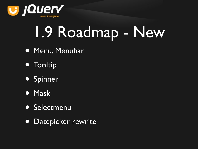

# 1.9 Roadmap - New

- Menu, Menubar
- Tooltip
- Spinner
- Mask
- Selectmenu
- Datepicker rewrite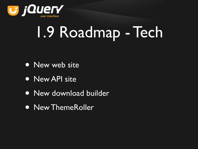

## 1.9 Roadmap - Tech

- New web site
- New API site
- New download builder
- New ThemeRoller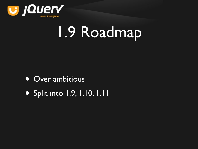

## 1.9 Roadmap

- Over ambitious
- Split into 1.9, 1.10, 1.11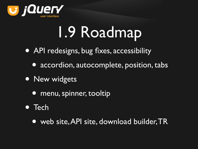

## 1.9 Roadmap

- API redesigns, bug fixes, accessibility
	- accordion, autocomplete, position, tabs
- New widgets
	- menu, spinner, tooltip
- Tech
	- web site, API site, download builder, TR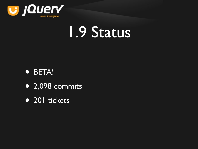

### 1.9 Status

#### • BETA!

- $\bullet$  2,098 commits
- 201 tickets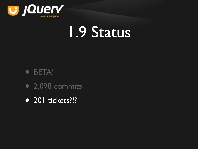

### 1.9 Status

- BETA!
- 2,098 commits
- 201 tickets?!?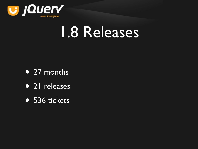

### 1.8 Releases

- 27 months
- 21 releases
- 536 tickets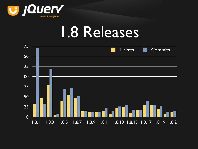

#### 1.8 Releases

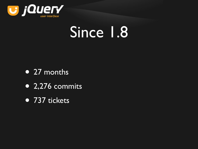

## Since 1.8

- 27 months
- 2,276 commits
- 737 tickets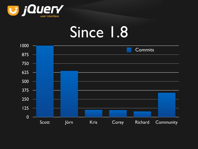

## Since 1.8

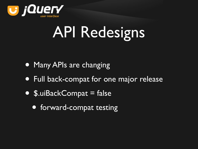

# API Redesigns

- Many APIs are changing
- Full back-compat for one major release
- \$.uiBackCompat = false
	- forward-compat testing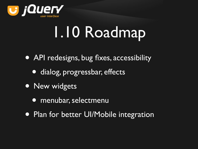

# 1.10 Roadmap

- API redesigns, bug fixes, accessibility
	- dialog, progressbar, effects
- New widgets
	- menubar, selectmenu
- Plan for better UI/Mobile integration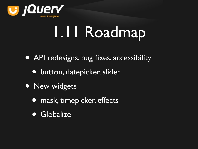

# 1.11 Roadmap

- API redesigns, bug fixes, accessibility
	- button, datepicker, slider
- New widgets
	- mask, timepicker, effects
	- Globalize